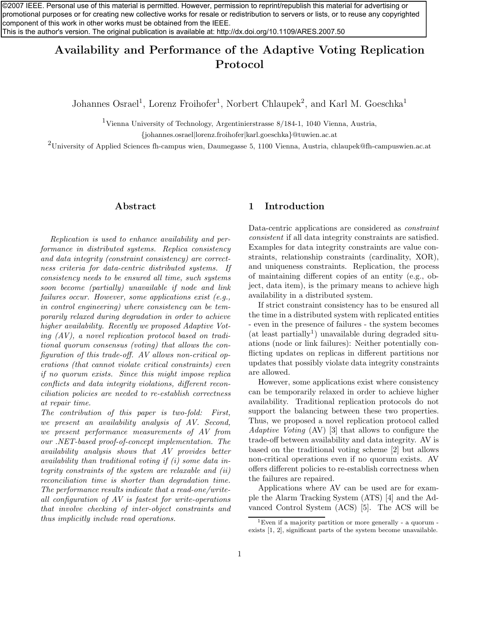©2007 IEEE. Personal use of this material is permitted. However, permission to reprint/republish this material for advertising or promotional purposes or for creating new collective works for resale or redistribution to servers or lists, or to reuse any copyrighted component of this work in other works must be obtained from the IEEE. This is the author's version. The original publication is available at: http://dx.doi.org/10.1109/ARES.2007.50

# Availability and Performance of the Adaptive Voting Replication Protocol

Johannes Osrael<sup>1</sup>, Lorenz Froihofer<sup>1</sup>, Norbert Chlaupek<sup>2</sup>, and Karl M. Goeschka<sup>1</sup>

<sup>1</sup>Vienna University of Technology, Argentinierstrasse 8/184-1, 1040 Vienna, Austria,

{johannes.osrael|lorenz.froihofer|karl.goeschka}@tuwien.ac.at

<sup>2</sup>University of Applied Sciences fh-campus wien, Daumegasse 5, 1100 Vienna, Austria, chlaupek@fh-campuswien.ac.at

#### Abstract

Replication is used to enhance availability and performance in distributed systems. Replica consistency and data integrity (constraint consistency) are correctness criteria for data-centric distributed systems. If consistency needs to be ensured all time, such systems soon become (partially) unavailable if node and link failures occur. However, some applications exist (e.g., in control engineering) where consistency can be temporarily relaxed during degradation in order to achieve higher availability. Recently we proposed Adaptive Voting (AV), a novel replication protocol based on traditional quorum consensus (voting) that allows the configuration of this trade-off. AV allows non-critical operations (that cannot violate critical constraints) even if no quorum exists. Since this might impose replica conflicts and data integrity violations, different reconciliation policies are needed to re-establish correctness at repair time.

The contribution of this paper is two-fold: First, we present an availability analysis of AV. Second, we present performance measurements of AV from our .NET-based proof-of-concept implementation. The availability analysis shows that AV provides better availability than traditional voting if (i) some data integrity constraints of the system are relaxable and (ii) reconciliation time is shorter than degradation time. The performance results indicate that a read-one/writeall configuration of AV is fastest for write-operations that involve checking of inter-object constraints and thus implicitly include read operations.

## 1 Introduction

Data-centric applications are considered as *constraint* consistent if all data integrity constraints are satisfied. Examples for data integrity constraints are value constraints, relationship constraints (cardinality, XOR), and uniqueness constraints. Replication, the process of maintaining different copies of an entity (e.g., object, data item), is the primary means to achieve high availability in a distributed system.

If strict constraint consistency has to be ensured all the time in a distributed system with replicated entities - even in the presence of failures - the system becomes  $(at least partially<sup>1</sup>)$  unavailable during degraded situations (node or link failures): Neither potentially conflicting updates on replicas in different partitions nor updates that possibly violate data integrity constraints are allowed.

However, some applications exist where consistency can be temporarily relaxed in order to achieve higher availability. Traditional replication protocols do not support the balancing between these two properties. Thus, we proposed a novel replication protocol called Adaptive Voting (AV) [3] that allows to configure the trade-off between availability and data integrity. AV is based on the traditional voting scheme [2] but allows non-critical operations even if no quorum exists. AV offers different policies to re-establish correctness when the failures are repaired.

Applications where AV can be used are for example the Alarm Tracking System (ATS) [4] and the Advanced Control System (ACS) [5]. The ACS will be

<sup>1</sup>Even if a majority partition or more generally - a quorum exists [1, 2], significant parts of the system become unavailable.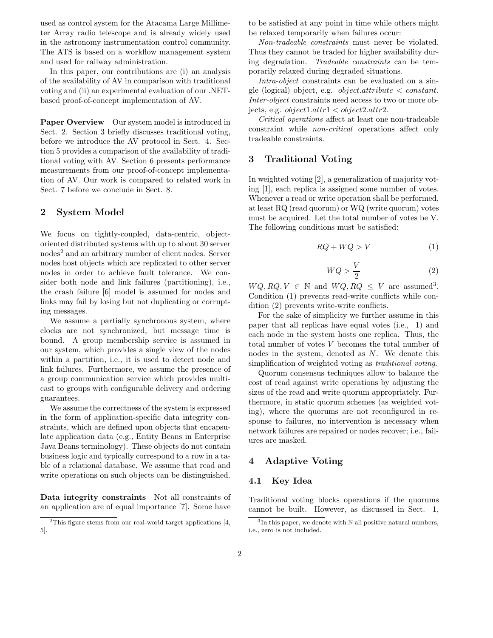used as control system for the Atacama Large Millimeter Array radio telescope and is already widely used in the astronomy instrumentation control community. The ATS is based on a workflow management system and used for railway administration.

In this paper, our contributions are (i) an analysis of the availability of AV in comparison with traditional voting and (ii) an experimental evaluation of our .NETbased proof-of-concept implementation of AV.

Paper Overview Our system model is introduced in Sect. 2. Section 3 briefly discusses traditional voting, before we introduce the AV protocol in Sect. 4. Section 5 provides a comparison of the availability of traditional voting with AV. Section 6 presents performance measurements from our proof-of-concept implementation of AV. Our work is compared to related work in Sect. 7 before we conclude in Sect. 8.

# 2 System Model

We focus on tightly-coupled, data-centric, objectoriented distributed systems with up to about 30 server nodes<sup>2</sup> and an arbitrary number of client nodes. Server nodes host objects which are replicated to other server nodes in order to achieve fault tolerance. We consider both node and link failures (partitioning), i.e., the crash failure [6] model is assumed for nodes and links may fail by losing but not duplicating or corrupting messages.

We assume a partially synchronous system, where clocks are not synchronized, but message time is bound. A group membership service is assumed in our system, which provides a single view of the nodes within a partition, i.e., it is used to detect node and link failures. Furthermore, we assume the presence of a group communication service which provides multicast to groups with configurable delivery and ordering guarantees.

We assume the correctness of the system is expressed in the form of application-specific data integrity constraints, which are defined upon objects that encapsulate application data (e.g., Entity Beans in Enterprise Java Beans terminology). These objects do not contain business logic and typically correspond to a row in a table of a relational database. We assume that read and write operations on such objects can be distinguished.

Data integrity constraints Not all constraints of an application are of equal importance [7]. Some have

to be satisfied at any point in time while others might be relaxed temporarily when failures occur:

Non-tradeable constraints must never be violated. Thus they cannot be traded for higher availability during degradation. Tradeable constraints can be temporarily relaxed during degraded situations.

Intra-object constraints can be evaluated on a single (logical) object, e.g. *object.attribute*  $\langle$  *constant.* Inter-object constraints need access to two or more objects, e.g.  $object1.attr1 < object2.attr2$ .

Critical operations affect at least one non-tradeable constraint while non-critical operations affect only tradeable constraints.

# 3 Traditional Voting

In weighted voting [2], a generalization of majority voting [1], each replica is assigned some number of votes. Whenever a read or write operation shall be performed, at least RQ (read quorum) or WQ (write quorum) votes must be acquired. Let the total number of votes be V. The following conditions must be satisfied:

$$
RQ + WQ > V \tag{1}
$$

$$
WQ > \frac{V}{2} \tag{2}
$$

 $WQ, RQ, V \in \mathbb{N}$  and  $WQ, RQ \leq V$  are assumed<sup>3</sup>. Condition (1) prevents read-write conflicts while condition (2) prevents write-write conflicts.

For the sake of simplicity we further assume in this paper that all replicas have equal votes (i.e., 1) and each node in the system hosts one replica. Thus, the total number of votes V becomes the total number of nodes in the system, denoted as N. We denote this simplification of weighted voting as *traditional voting*.

Quorum consensus techniques allow to balance the cost of read against write operations by adjusting the sizes of the read and write quorum appropriately. Furthermore, in static quorum schemes (as weighted voting), where the quorums are not reconfigured in response to failures, no intervention is necessary when network failures are repaired or nodes recover; i.e., failures are masked.

# 4 Adaptive Voting

#### 4.1 Key Idea

Traditional voting blocks operations if the quorums cannot be built. However, as discussed in Sect. 1,

 $2$ This figure stems from our real-world target applications [4, 5].

 ${}^{3}$ In this paper, we denote with N all positive natural numbers, i.e., zero is not included.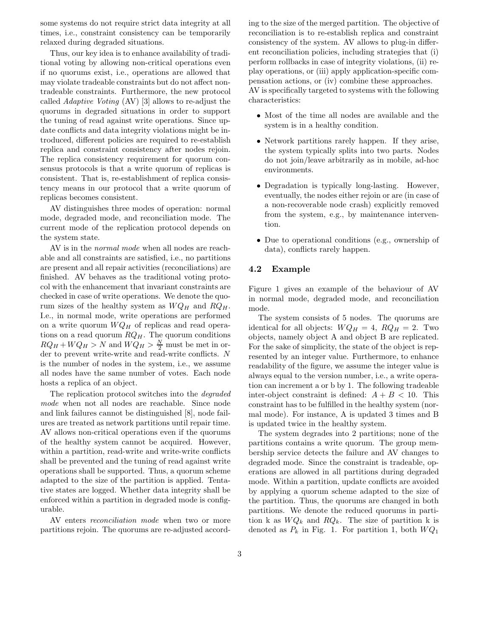some systems do not require strict data integrity at all times, i.e., constraint consistency can be temporarily relaxed during degraded situations.

Thus, our key idea is to enhance availability of traditional voting by allowing non-critical operations even if no quorums exist, i.e., operations are allowed that may violate tradeable constraints but do not affect nontradeable constraints. Furthermore, the new protocol called Adaptive Voting (AV) [3] allows to re-adjust the quorums in degraded situations in order to support the tuning of read against write operations. Since update conflicts and data integrity violations might be introduced, different policies are required to re-establish replica and constraint consistency after nodes rejoin. The replica consistency requirement for quorum consensus protocols is that a write quorum of replicas is consistent. That is, re-establishment of replica consistency means in our protocol that a write quorum of replicas becomes consistent.

AV distinguishes three modes of operation: normal mode, degraded mode, and reconciliation mode. The current mode of the replication protocol depends on the system state.

AV is in the normal mode when all nodes are reachable and all constraints are satisfied, i.e., no partitions are present and all repair activities (reconciliations) are finished. AV behaves as the traditional voting protocol with the enhancement that invariant constraints are checked in case of write operations. We denote the quorum sizes of the healthy system as  $WQ_H$  and  $RQ_H$ . I.e., in normal mode, write operations are performed on a write quorum  $WQ_H$  of replicas and read operations on a read quorum  $RQ_H$ . The quorum conditions  $RQ_H + WQ_H > N$  and  $WQ_H > \frac{N}{2}$  must be met in order to prevent write-write and read-write conflicts. N is the number of nodes in the system, i.e., we assume all nodes have the same number of votes. Each node hosts a replica of an object.

The replication protocol switches into the degraded mode when not all nodes are reachable. Since node and link failures cannot be distinguished [8], node failures are treated as network partitions until repair time. AV allows non-critical operations even if the quorums of the healthy system cannot be acquired. However, within a partition, read-write and write-write conflicts shall be prevented and the tuning of read against write operations shall be supported. Thus, a quorum scheme adapted to the size of the partition is applied. Tentative states are logged. Whether data integrity shall be enforced within a partition in degraded mode is configurable.

AV enters reconciliation mode when two or more partitions rejoin. The quorums are re-adjusted according to the size of the merged partition. The objective of reconciliation is to re-establish replica and constraint consistency of the system. AV allows to plug-in different reconciliation policies, including strategies that (i) perform rollbacks in case of integrity violations, (ii) replay operations, or (iii) apply application-specific compensation actions, or (iv) combine these approaches. AV is specifically targeted to systems with the following characteristics:

- Most of the time all nodes are available and the system is in a healthy condition.
- Network partitions rarely happen. If they arise, the system typically splits into two parts. Nodes do not join/leave arbitrarily as in mobile, ad-hoc environments.
- Degradation is typically long-lasting. However, eventually, the nodes either rejoin or are (in case of a non-recoverable node crash) explicitly removed from the system, e.g., by maintenance intervention.
- Due to operational conditions (e.g., ownership of data), conflicts rarely happen.

#### 4.2 Example

Figure 1 gives an example of the behaviour of AV in normal mode, degraded mode, and reconciliation mode.

The system consists of 5 nodes. The quorums are identical for all objects:  $WQ_H = 4$ ,  $RQ_H = 2$ . Two objects, namely object A and object B are replicated. For the sake of simplicity, the state of the object is represented by an integer value. Furthermore, to enhance readability of the figure, we assume the integer value is always equal to the version number, i.e., a write operation can increment a or b by 1. The following tradeable inter-object constraint is defined:  $A + B < 10$ . This constraint has to be fulfilled in the healthy system (normal mode). For instance, A is updated 3 times and B is updated twice in the healthy system.

The system degrades into 2 partitions; none of the partitions contains a write quorum. The group membership service detects the failure and AV changes to degraded mode. Since the constraint is tradeable, operations are allowed in all partitions during degraded mode. Within a partition, update conflicts are avoided by applying a quorum scheme adapted to the size of the partition. Thus, the quorums are changed in both partitions. We denote the reduced quorums in partition k as  $WQ_k$  and  $RQ_k$ . The size of partition k is denoted as  $P_k$  in Fig. 1. For partition 1, both  $WQ_1$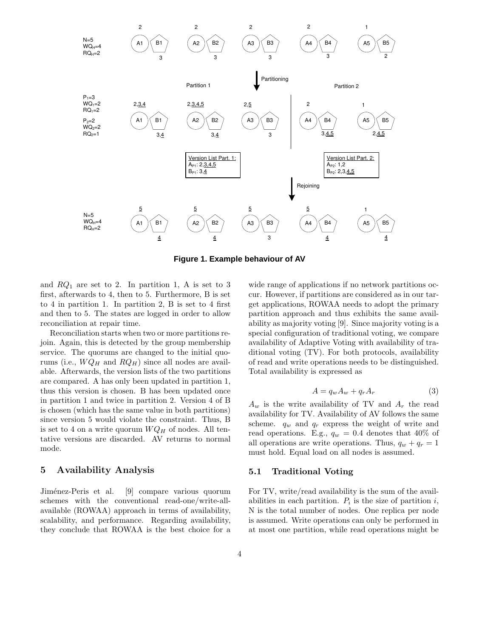

**Figure 1. Example behaviour of AV**

and  $RQ_1$  are set to 2. In partition 1, A is set to 3 first, afterwards to 4, then to 5. Furthermore, B is set to 4 in partition 1. In partition 2, B is set to 4 first and then to 5. The states are logged in order to allow reconciliation at repair time.

Reconciliation starts when two or more partitions rejoin. Again, this is detected by the group membership service. The quorums are changed to the initial quorums (i.e.,  $WQ_H$  and  $RQ_H$ ) since all nodes are available. Afterwards, the version lists of the two partitions are compared. A has only been updated in partition 1, thus this version is chosen. B has been updated once in partition 1 and twice in partition 2. Version 4 of B is chosen (which has the same value in both partitions) since version 5 would violate the constraint. Thus, B is set to 4 on a write quorum  $WQ_H$  of nodes. All tentative versions are discarded. AV returns to normal mode.

## 5 Availability Analysis

Jiménez-Peris et al. [9] compare various quorum schemes with the conventional read-one/write-allavailable (ROWAA) approach in terms of availability, scalability, and performance. Regarding availability, they conclude that ROWAA is the best choice for a

wide range of applications if no network partitions occur. However, if partitions are considered as in our target applications, ROWAA needs to adopt the primary partition approach and thus exhibits the same availability as majority voting [9]. Since majority voting is a special configuration of traditional voting, we compare availability of Adaptive Voting with availability of traditional voting (TV). For both protocols, availability of read and write operations needs to be distinguished. Total availability is expressed as

$$
A = q_w A_w + q_r A_r \tag{3}
$$

 $A_w$  is the write availability of TV and  $A_r$  the read availability for TV. Availability of AV follows the same scheme.  $q_w$  and  $q_r$  express the weight of write and read operations. E.g.,  $q_w = 0.4$  denotes that 40% of all operations are write operations. Thus,  $q_w + q_r = 1$ must hold. Equal load on all nodes is assumed.

#### 5.1 Traditional Voting

For TV, write/read availability is the sum of the availabilities in each partition.  $P_i$  is the size of partition i, N is the total number of nodes. One replica per node is assumed. Write operations can only be performed in at most one partition, while read operations might be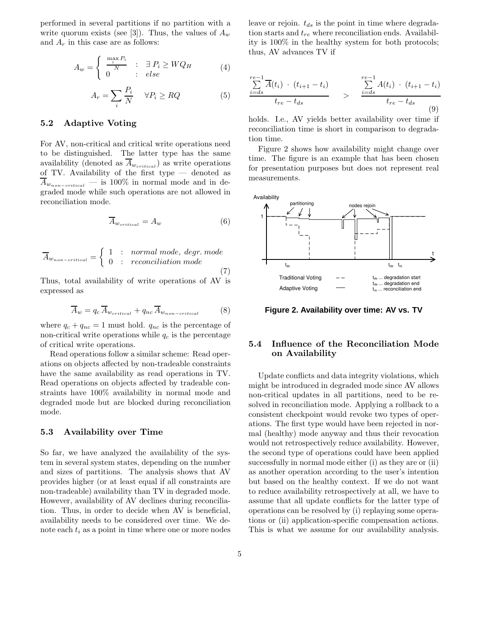performed in several partitions if no partition with a write quorum exists (see [3]). Thus, the values of  $A_w$ and  $A_r$  in this case are as follows:

$$
A_w = \begin{cases} \frac{\max P_i}{N} & \colon & \exists P_i \ge WQ_H \\ 0 & \colon & else \end{cases} \tag{4}
$$

$$
A_r = \sum_i \frac{P_i}{N} \quad \forall P_i \ge RQ \tag{5}
$$

#### 5.2 Adaptive Voting

For AV, non-critical and critical write operations need to be distinguished. The latter type has the same availability (denoted as  $\overline{A}_{w_{critical}}$ ) as write operations of TV. Availability of the first type — denoted as  $\overline{A}_{w_{non-critical}}$  — is 100% in normal mode and in degraded mode while such operations are not allowed in reconciliation mode.

$$
\overline{A}_{w_{critical}} = A_w \tag{6}
$$

$$
\overline{A}_{w_{non-critical}} = \begin{cases} 1 : normal mode, degr. mode \\ 0 : reconcilation mode \end{cases}
$$
\n(7)

Thus, total availability of write operations of AV is expressed as

$$
\overline{A}_w = q_c \, \overline{A}_{w_{critical}} + q_{nc} \, \overline{A}_{w_{non-critical}} \tag{8}
$$

where  $q_c + q_{nc} = 1$  must hold.  $q_{nc}$  is the percentage of non-critical write operations while  $q_c$  is the percentage of critical write operations.

Read operations follow a similar scheme: Read operations on objects affected by non-tradeable constraints have the same availability as read operations in TV. Read operations on objects affected by tradeable constraints have 100% availability in normal mode and degraded mode but are blocked during reconciliation mode.

#### 5.3 Availability over Time

So far, we have analyzed the availability of the system in several system states, depending on the number and sizes of partitions. The analysis shows that AV provides higher (or at least equal if all constraints are non-tradeable) availability than TV in degraded mode. However, availability of AV declines during reconciliation. Thus, in order to decide when AV is beneficial, availability needs to be considered over time. We denote each  $t_i$  as a point in time where one or more nodes

leave or rejoin.  $t_{ds}$  is the point in time where degradation starts and  $t_{re}$  where reconciliation ends. Availability is 100% in the healthy system for both protocols; thus, AV advances TV if

$$
\frac{\sum_{i=ds}^{re-1} \overline{A}(t_i) \cdot (t_{i+1} - t_i)}{t_{re} - t_{ds}} \geq \frac{\sum_{i=ds}^{re-1} A(t_i) \cdot (t_{i+1} - t_i)}{t_{re} - t_{ds}}
$$
\n(9)

holds. I.e., AV yields better availability over time if reconciliation time is short in comparison to degradation time.

Figure 2 shows how availability might change over time. The figure is an example that has been chosen for presentation purposes but does not represent real measurements.



**Figure 2. Availability over time: AV vs. TV**

# 5.4 Influence of the Reconciliation Mode on Availability

Update conflicts and data integrity violations, which might be introduced in degraded mode since AV allows non-critical updates in all partitions, need to be resolved in reconciliation mode. Applying a rollback to a consistent checkpoint would revoke two types of operations. The first type would have been rejected in normal (healthy) mode anyway and thus their revocation would not retrospectively reduce availability. However, the second type of operations could have been applied successfully in normal mode either (i) as they are or (ii) as another operation according to the user's intention but based on the healthy context. If we do not want to reduce availability retrospectively at all, we have to assume that all update conflicts for the latter type of operations can be resolved by (i) replaying some operations or (ii) application-specific compensation actions. This is what we assume for our availability analysis.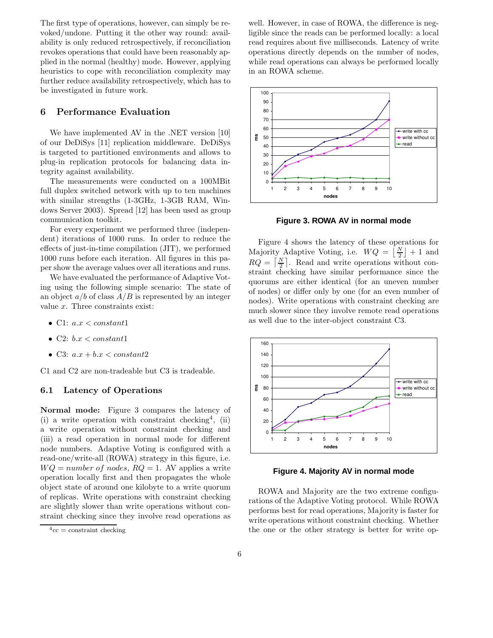The first type of operations, however, can simply be revoked/undone. Putting it the other way round: availability is only reduced retrospectively, if reconciliation revokes operations that could have been reasonably applied in the normal (healthy) mode. However, applying heuristics to cope with reconciliation complexity may further reduce availability retrospectively, which has to be investigated in future work.

# 6 Performance Evaluation

We have implemented AV in the .NET version [10] of our DeDiSys [11] replication middleware. DeDiSys is targeted to partitioned environments and allows to plug-in replication protocols for balancing data integrity against availability.

The measurements were conducted on a 100MBit full duplex switched network with up to ten machines with similar strengths (1-3GHz, 1-3GB RAM, Windows Server 2003). Spread [12] has been used as group communication toolkit.

For every experiment we performed three (independent) iterations of 1000 runs. In order to reduce the effects of just-in-time compilation (JIT), we performed 1000 runs before each iteration. All figures in this paper show the average values over all iterations and runs.

We have evaluated the performance of Adaptive Voting using the following simple scenario: The state of an object  $a/b$  of class  $A/B$  is represented by an integer value x. Three constraints exist:

- C1:  $a.x < constant1$
- C2:  $b.x < constant1$
- C3:  $a.x + b.x < constant2$

C1 and C2 are non-tradeable but C3 is tradeable.

#### 6.1 Latency of Operations

Normal mode: Figure 3 compares the latency of (i) a write operation with constraint checking<sup>4</sup> , (ii) a write operation without constraint checking and (iii) a read operation in normal mode for different node numbers. Adaptive Voting is configured with a read-one/write-all (ROWA) strategy in this figure, i.e.  $WQ = number of nodes, RQ = 1$ . AV applies a write operation locally first and then propagates the whole object state of around one kilobyte to a write quorum of replicas. Write operations with constraint checking are slightly slower than write operations without constraint checking since they involve read operations as

well. However, in case of ROWA, the difference is negligible since the reads can be performed locally: a local read requires about five milliseconds. Latency of write operations directly depends on the number of nodes, while read operations can always be performed locally in an ROWA scheme.



**Figure 3. ROWA AV in normal mode**

Figure 4 shows the latency of these operations for Majority Adaptive Voting, i.e.  $WQ = \left[\frac{N}{2}\right] + 1$  and  $RQ = \left[\frac{N}{2}\right]$ . Read and write operations without constraint checking have similar performance since the quorums are either identical (for an uneven number of nodes) or differ only by one (for an even number of nodes). Write operations with constraint checking are much slower since they involve remote read operations as well due to the inter-object constraint C3.



**Figure 4. Majority AV in normal mode**

ROWA and Majority are the two extreme configurations of the Adaptive Voting protocol. While ROWA performs best for read operations, Majority is faster for write operations without constraint checking. Whether the one or the other strategy is better for write op-

 ${}^{4}$ cc = constraint checking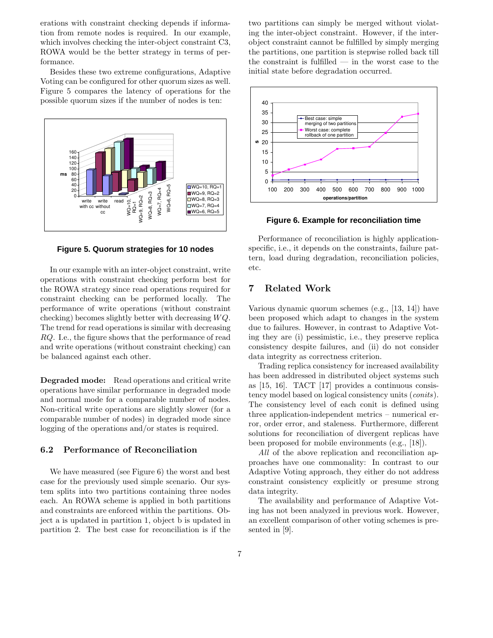erations with constraint checking depends if information from remote nodes is required. In our example, which involves checking the inter-object constraint C3, ROWA would be the better strategy in terms of performance.

Besides these two extreme configurations, Adaptive Voting can be configured for other quorum sizes as well. Figure 5 compares the latency of operations for the possible quorum sizes if the number of nodes is ten:



**Figure 5. Quorum strategies for 10 nodes**

In our example with an inter-object constraint, write operations with constraint checking perform best for the ROWA strategy since read operations required for constraint checking can be performed locally. The performance of write operations (without constraint checking) becomes slightly better with decreasing WQ. The trend for read operations is similar with decreasing RQ. I.e., the figure shows that the performance of read and write operations (without constraint checking) can be balanced against each other.

Degraded mode: Read operations and critical write operations have similar performance in degraded mode and normal mode for a comparable number of nodes. Non-critical write operations are slightly slower (for a comparable number of nodes) in degraded mode since logging of the operations and/or states is required.

#### 6.2 Performance of Reconciliation

We have measured (see Figure 6) the worst and best case for the previously used simple scenario. Our system splits into two partitions containing three nodes each. An ROWA scheme is applied in both partitions and constraints are enforced within the partitions. Object a is updated in partition 1, object b is updated in partition 2. The best case for reconciliation is if the two partitions can simply be merged without violating the inter-object constraint. However, if the interobject constraint cannot be fulfilled by simply merging the partitions, one partition is stepwise rolled back till the constraint is fulfilled  $-$  in the worst case to the initial state before degradation occurred.



**Figure 6. Example for reconciliation time**

Performance of reconciliation is highly applicationspecific, i.e., it depends on the constraints, failure pattern, load during degradation, reconciliation policies, etc.

# 7 Related Work

Various dynamic quorum schemes (e.g., [13, 14]) have been proposed which adapt to changes in the system due to failures. However, in contrast to Adaptive Voting they are (i) pessimistic, i.e., they preserve replica consistency despite failures, and (ii) do not consider data integrity as correctness criterion.

Trading replica consistency for increased availability has been addressed in distributed object systems such as [15, 16]. TACT [17] provides a continuous consistency model based on logical consistency units (*conits*). The consistency level of each conit is defined using three application-independent metrics – numerical error, order error, and staleness. Furthermore, different solutions for reconciliation of divergent replicas have been proposed for mobile environments (e.g., [18]).

All of the above replication and reconciliation approaches have one commonality: In contrast to our Adaptive Voting approach, they either do not address constraint consistency explicitly or presume strong data integrity.

The availability and performance of Adaptive Voting has not been analyzed in previous work. However, an excellent comparison of other voting schemes is presented in [9].